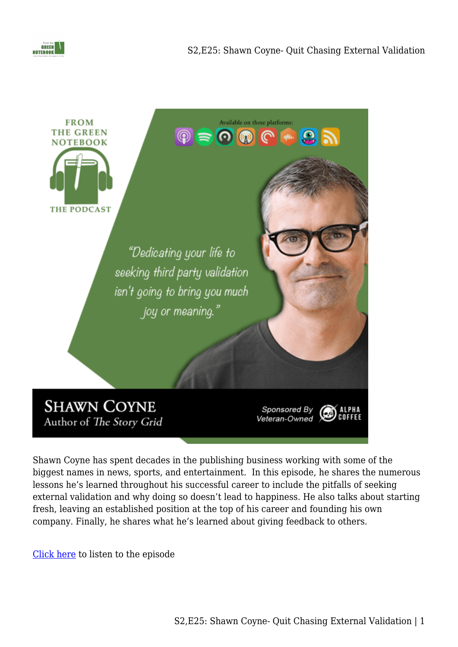



Shawn Coyne has spent decades in the publishing business working with some of the biggest names in news, sports, and entertainment. In this episode, he shares the numerous lessons he's learned throughout his successful career to include the pitfalls of seeking external validation and why doing so doesn't lead to happiness. He also talks about starting fresh, leaving an established position at the top of his career and founding his own company. Finally, he shares what he's learned about giving feedback to others.

[Click here](https://www.buzzsprout.com/1410526/8759316) to listen to the episode